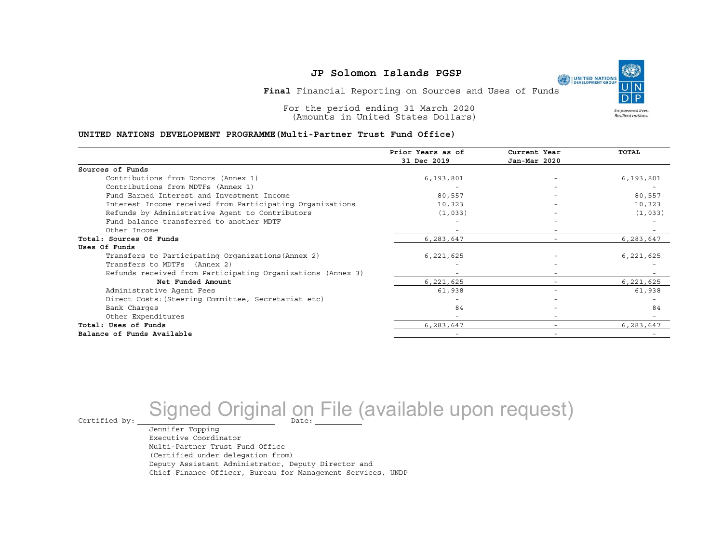**Final** Financial Reporting on Sources and Uses of Funds

For the period ending 31 March 2020 (Amounts in United States Dollars)

#### **UNITED NATIONS DEVELOPMENT PROGRAMME(Multi-Partner Trust Fund Office)**

|                                                             | Prior Years as of<br>31 Dec 2019 | Current Year<br>Jan-Mar 2020 | TOTAL     |
|-------------------------------------------------------------|----------------------------------|------------------------------|-----------|
|                                                             |                                  |                              |           |
| Sources of Funds                                            |                                  |                              |           |
| Contributions from Donors (Annex 1)                         | 6,193,801                        |                              | 6,193,801 |
| Contributions from MDTFs (Annex 1)                          |                                  |                              |           |
| Fund Earned Interest and Investment Income                  | 80,557                           |                              | 80,557    |
| Interest Income received from Participating Organizations   | 10,323                           |                              | 10,323    |
| Refunds by Administrative Agent to Contributors             | (1, 033)                         |                              | (1,033)   |
| Fund balance transferred to another MDTF                    |                                  |                              |           |
| Other Income                                                |                                  |                              |           |
| Total: Sources Of Funds                                     | 6,283,647                        |                              | 6,283,647 |
| Uses Of Funds                                               |                                  |                              |           |
| Transfers to Participating Organizations (Annex 2)          | 6,221,625                        |                              | 6,221,625 |
| Transfers to MDTFs (Annex 2)                                |                                  |                              |           |
| Refunds received from Participating Organizations (Annex 3) |                                  |                              |           |
| Net Funded Amount                                           | 6,221,625                        |                              | 6,221,625 |
| Administrative Agent Fees                                   | 61,938                           | $\overline{\phantom{0}}$     | 61,938    |
| Direct Costs: (Steering Committee, Secretariat etc)         |                                  |                              |           |
| Bank Charges                                                | 84                               |                              | 84        |
| Other Expenditures                                          | $\overline{\phantom{0}}$         | $\overline{\phantom{0}}$     |           |
| Total: Uses of Funds                                        | 6,283,647                        |                              | 6,283,647 |
| Balance of Funds Available                                  |                                  |                              |           |

# Certified by: Signed Original on File (available upon request)

Jennifer Topping Executive Coordinator Multi-Partner Trust Fund Office (Certified under delegation from) Deputy Assistant Administrator, Deputy Director and Chief Finance Officer, Bureau for Management Services, UNDP **Empowered lives** Resilient nations.

UNITED NATIONS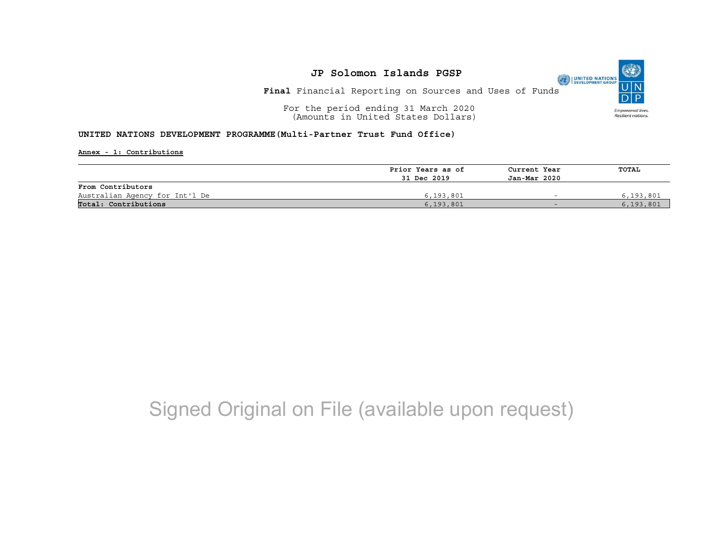**Final** Financial Reporting on Sources and Uses of Funds

For the period ending 31 March 2020 (Amounts in United States Dollars)

#### **UNITED NATIONS DEVELOPMENT PROGRAMME(Multi-Partner Trust Fund Office)**

**Annex - 1: Contributions**

|                                | Prior Years as of | Current Year | TOTAL       |
|--------------------------------|-------------------|--------------|-------------|
|                                | 31 Dec 2019       | Jan-Mar 2020 |             |
| From Contributors              |                   |              |             |
| Australian Agency for Int'l De | 6,193,801         |              | 6,193,801   |
| Total: Contributions           | 6, 193, 801       | $-$          | 6, 193, 801 |

## Signed Original on File (available upon request)

UNITED NATIONS **Empowered lives** Resilient nations.

(O)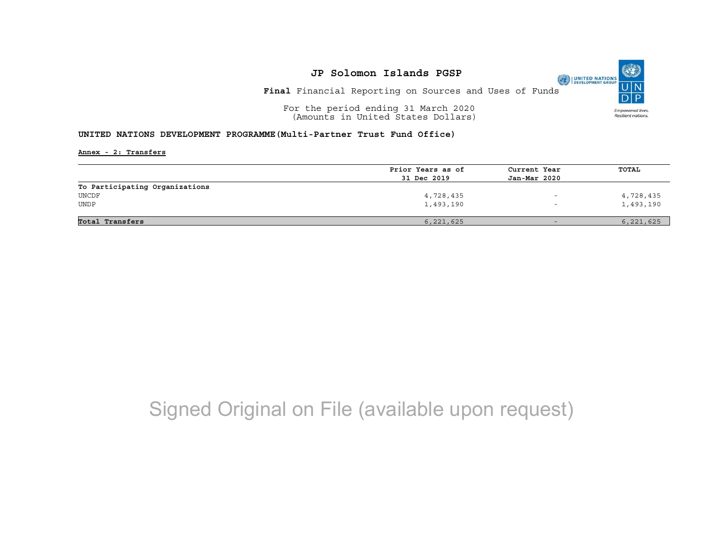**Final** Financial Reporting on Sources and Uses of Funds

For the period ending 31 March 2020 (Amounts in United States Dollars)

#### **UNITED NATIONS DEVELOPMENT PROGRAMME(Multi-Partner Trust Fund Office)**

**Annex - 2: Transfers**

|                                | Prior Years as of | Current Year             | TOTAL     |
|--------------------------------|-------------------|--------------------------|-----------|
|                                | 31 Dec 2019       | Jan-Mar 2020             |           |
| To Participating Organizations |                   |                          |           |
| UNCDF                          | 4,728,435         | $\overline{\phantom{0}}$ | 4,728,435 |
| UNDP                           | 1,493,190         | $\overline{\phantom{0}}$ | 1,493,190 |
|                                |                   |                          |           |
| Total Transfers                | 6,221,625         | $-$                      | 6,221,625 |

## Signed Original on File (available upon request)

(O UNITED NATIONS Empowered lives. Resilient nations.